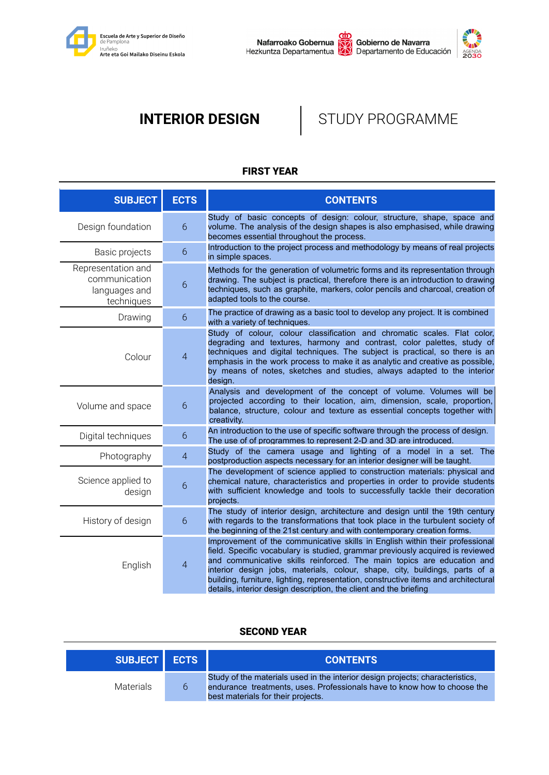



# **INTERIOR DESIGN | STUDY PROGRAMME**

# FIRST YEAR

| <b>SUBJECT</b>                                                     | <b>ECTS</b>    | <b>CONTENTS</b>                                                                                                                                                                                                                                                                                                                                                                                                                                                                     |
|--------------------------------------------------------------------|----------------|-------------------------------------------------------------------------------------------------------------------------------------------------------------------------------------------------------------------------------------------------------------------------------------------------------------------------------------------------------------------------------------------------------------------------------------------------------------------------------------|
| Design foundation                                                  | $6\phantom{1}$ | Study of basic concepts of design: colour, structure, shape, space and<br>volume. The analysis of the design shapes is also emphasised, while drawing<br>becomes essential throughout the process.                                                                                                                                                                                                                                                                                  |
| Basic projects                                                     | 6              | Introduction to the project process and methodology by means of real projects<br>in simple spaces.                                                                                                                                                                                                                                                                                                                                                                                  |
| Representation and<br>communication<br>languages and<br>techniques | $\overline{6}$ | Methods for the generation of volumetric forms and its representation through<br>drawing. The subject is practical, therefore there is an introduction to drawing<br>techniques, such as graphite, markers, color pencils and charcoal, creation of<br>adapted tools to the course.                                                                                                                                                                                                 |
| Drawing                                                            | $6\phantom{1}$ | The practice of drawing as a basic tool to develop any project. It is combined<br>with a variety of techniques.                                                                                                                                                                                                                                                                                                                                                                     |
| Colour                                                             | $\overline{4}$ | Study of colour, colour classification and chromatic scales. Flat color,<br>degrading and textures, harmony and contrast, color palettes, study of<br>techniques and digital techniques. The subject is practical, so there is an<br>emphasis in the work process to make it as analytic and creative as possible,<br>by means of notes, sketches and studies, always adapted to the interior<br>design.                                                                            |
| Volume and space                                                   | 6              | Analysis and development of the concept of volume. Volumes will be<br>projected according to their location, aim, dimension, scale, proportion,<br>balance, structure, colour and texture as essential concepts together with<br>creativity.                                                                                                                                                                                                                                        |
| Digital techniques                                                 | 6              | An introduction to the use of specific software through the process of design.<br>The use of of programmes to represent 2-D and 3D are introduced.                                                                                                                                                                                                                                                                                                                                  |
| Photography                                                        | $\overline{4}$ | Study of the camera usage and lighting of a model in a set. The<br>postproduction aspects necessary for an interior designer will be taught.                                                                                                                                                                                                                                                                                                                                        |
| Science applied to<br>design                                       | 6              | The development of science applied to construction materials: physical and<br>chemical nature, characteristics and properties in order to provide students<br>with sufficient knowledge and tools to successfully tackle their decoration<br>projects.                                                                                                                                                                                                                              |
| History of design                                                  | 6              | The study of interior design, architecture and design until the 19th century<br>with regards to the transformations that took place in the turbulent society of<br>the beginning of the 21st century and with contemporary creation forms.                                                                                                                                                                                                                                          |
| English                                                            | $\overline{4}$ | Improvement of the communicative skills in English within their professional<br>field. Specific vocabulary is studied, grammar previously acquired is reviewed<br>and communicative skills reinforced. The main topics are education and<br>interior design jobs, materials, colour, shape, city, buildings, parts of a<br>building, furniture, lighting, representation, constructive items and architectural<br>details, interior design description, the client and the briefing |

### SECOND YEAR

| SUBJECT   ECTS |     | <b>CONTENTS</b>                                                                                                                                                                                 |
|----------------|-----|-------------------------------------------------------------------------------------------------------------------------------------------------------------------------------------------------|
| Materials      | Th. | Study of the materials used in the interior design projects; characteristics,<br>endurance treatments, uses. Professionals have to know how to choose the<br>best materials for their projects. |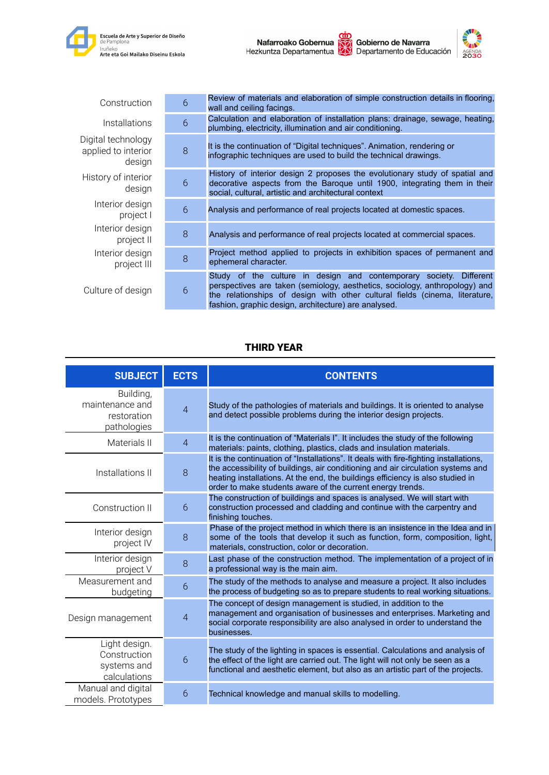

| Construction                                        | 6 | Review of materials and elaboration of simple construction details in flooring,<br>wall and ceiling facings.                                                                                                                                                                                       |
|-----------------------------------------------------|---|----------------------------------------------------------------------------------------------------------------------------------------------------------------------------------------------------------------------------------------------------------------------------------------------------|
| <i>Installations</i>                                | 6 | Calculation and elaboration of installation plans: drainage, sewage, heating,<br>plumbing, electricity, illumination and air conditioning.                                                                                                                                                         |
| Digital technology<br>applied to interior<br>design | 8 | It is the continuation of "Digital techniques". Animation, rendering or<br>infographic techniques are used to build the technical drawings.                                                                                                                                                        |
| History of interior<br>design                       | 6 | History of interior design 2 proposes the evolutionary study of spatial and<br>decorative aspects from the Baroque until 1900, integrating them in their<br>social, cultural, artistic and architectural context                                                                                   |
| Interior design<br>project I                        | 6 | Analysis and performance of real projects located at domestic spaces.                                                                                                                                                                                                                              |
| Interior design<br>project II                       | 8 | Analysis and performance of real projects located at commercial spaces.                                                                                                                                                                                                                            |
| Interior design<br>project III                      | 8 | Project method applied to projects in exhibition spaces of permanent and<br>ephemeral character.                                                                                                                                                                                                   |
| Culture of design                                   | 6 | Study of the culture in design and contemporary society.<br><b>Different</b><br>perspectives are taken (semiology, aesthetics, sociology, anthropology) and<br>the relationships of design with other cultural fields (cinema, literature,<br>fashion, graphic design, architecture) are analysed. |

# THIRD YEAR

| <b>SUBJECT</b>                                               | <b>ECTS</b>    | <b>CONTENTS</b>                                                                                                                                                                                                                                                                                                           |
|--------------------------------------------------------------|----------------|---------------------------------------------------------------------------------------------------------------------------------------------------------------------------------------------------------------------------------------------------------------------------------------------------------------------------|
| Building,<br>maintenance and<br>restoration<br>pathologies   | $\overline{4}$ | Study of the pathologies of materials and buildings. It is oriented to analyse<br>and detect possible problems during the interior design projects.                                                                                                                                                                       |
| Materials II                                                 | $\overline{4}$ | It is the continuation of "Materials I". It includes the study of the following<br>materials: paints, clothing, plastics, clads and insulation materials.                                                                                                                                                                 |
| Installations II                                             | 8              | It is the continuation of "Installations". It deals with fire-fighting installations,<br>the accessibility of buildings, air conditioning and air circulation systems and<br>heating installations. At the end, the buildings efficiency is also studied in<br>order to make students aware of the current energy trends. |
| Construction II                                              | 6              | The construction of buildings and spaces is analysed. We will start with<br>construction processed and cladding and continue with the carpentry and<br>finishing touches.                                                                                                                                                 |
| Interior design<br>project IV                                | 8              | Phase of the project method in which there is an insistence in the Idea and in<br>some of the tools that develop it such as function, form, composition, light,<br>materials, construction, color or decoration.                                                                                                          |
| Interior design<br>project V                                 | 8              | Last phase of the construction method. The implementation of a project of in<br>a professional way is the main aim.                                                                                                                                                                                                       |
| Measurement and<br>budgeting                                 | 6              | The study of the methods to analyse and measure a project. It also includes<br>the process of budgeting so as to prepare students to real working situations.                                                                                                                                                             |
| Design management                                            | $\overline{4}$ | The concept of design management is studied, in addition to the<br>management and organisation of businesses and enterprises. Marketing and<br>social corporate responsibility are also analysed in order to understand the<br>businesses.                                                                                |
| Light design.<br>Construction<br>systems and<br>calculations | 6              | The study of the lighting in spaces is essential. Calculations and analysis of<br>the effect of the light are carried out. The light will not only be seen as a<br>functional and aesthetic element, but also as an artistic part of the projects.                                                                        |
| Manual and digital<br>models. Prototypes                     | 6              | Technical knowledge and manual skills to modelling.                                                                                                                                                                                                                                                                       |